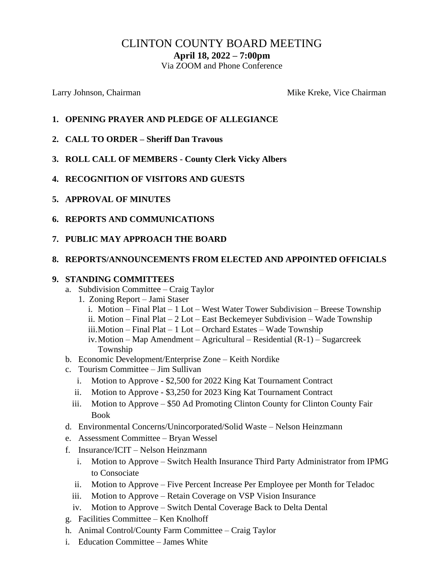# CLINTON COUNTY BOARD MEETING

**April 18, 2022 – 7:00pm**

Via ZOOM and Phone Conference

Larry Johnson, Chairman Mike Kreke, Vice Chairman Mike Kreke, Vice Chairman

- **1. OPENING PRAYER AND PLEDGE OF ALLEGIANCE**
- **2. CALL TO ORDER – Sheriff Dan Travous**
- **3. ROLL CALL OF MEMBERS - County Clerk Vicky Albers**
- **4. RECOGNITION OF VISITORS AND GUESTS**
- **5. APPROVAL OF MINUTES**
- **6. REPORTS AND COMMUNICATIONS**
- **7. PUBLIC MAY APPROACH THE BOARD**

#### **8. REPORTS/ANNOUNCEMENTS FROM ELECTED AND APPOINTED OFFICIALS**

#### **9. STANDING COMMITTEES**

- a. Subdivision Committee Craig Taylor
	- 1. Zoning Report Jami Staser
		- i. Motion Final Plat 1 Lot West Water Tower Subdivision Breese Township
		- ii. Motion Final Plat 2 Lot East Beckemeyer Subdivision Wade Township
		- iii.Motion Final Plat 1 Lot Orchard Estates Wade Township
		- iv.Motion Map Amendment Agricultural Residential (R-1) Sugarcreek Township
- b. Economic Development/Enterprise Zone Keith Nordike
- c. Tourism Committee Jim Sullivan
	- i. Motion to Approve \$2,500 for 2022 King Kat Tournament Contract
	- ii. Motion to Approve \$3,250 for 2023 King Kat Tournament Contract
	- iii. Motion to Approve \$50 Ad Promoting Clinton County for Clinton County Fair Book
- d. Environmental Concerns/Unincorporated/Solid Waste Nelson Heinzmann
- e. Assessment Committee Bryan Wessel
- f. Insurance/ICIT Nelson Heinzmann
	- i. Motion to Approve Switch Health Insurance Third Party Administrator from IPMG to Consociate
	- ii. Motion to Approve Five Percent Increase Per Employee per Month for Teladoc
	- iii. Motion to Approve Retain Coverage on VSP Vision Insurance
	- iv. Motion to Approve Switch Dental Coverage Back to Delta Dental
- g. Facilities Committee Ken Knolhoff
- h. Animal Control/County Farm Committee Craig Taylor
- i. Education Committee James White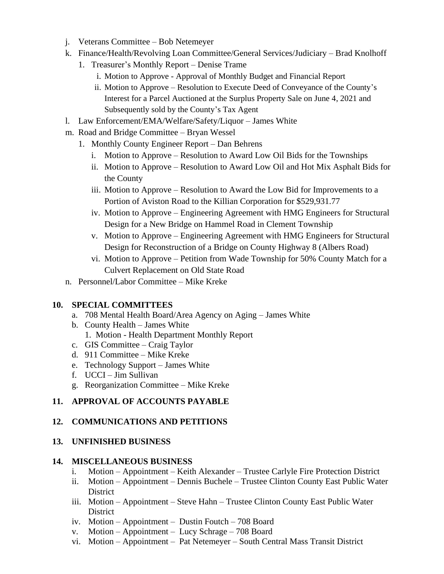- j. Veterans Committee Bob Netemeyer
- k. Finance/Health/Revolving Loan Committee/General Services/Judiciary Brad Knolhoff
	- 1. Treasurer's Monthly Report Denise Trame
		- i. Motion to Approve Approval of Monthly Budget and Financial Report
		- ii. Motion to Approve Resolution to Execute Deed of Conveyance of the County's Interest for a Parcel Auctioned at the Surplus Property Sale on June 4, 2021 and Subsequently sold by the County's Tax Agent
- l. Law Enforcement/EMA/Welfare/Safety/Liquor James White
- m. Road and Bridge Committee Bryan Wessel
	- 1. Monthly County Engineer Report Dan Behrens
		- i. Motion to Approve Resolution to Award Low Oil Bids for the Townships
		- ii. Motion to Approve Resolution to Award Low Oil and Hot Mix Asphalt Bids for the County
		- iii. Motion to Approve Resolution to Award the Low Bid for Improvements to a Portion of Aviston Road to the Killian Corporation for \$529,931.77
		- iv. Motion to Approve Engineering Agreement with HMG Engineers for Structural Design for a New Bridge on Hammel Road in Clement Township
		- v. Motion to Approve Engineering Agreement with HMG Engineers for Structural Design for Reconstruction of a Bridge on County Highway 8 (Albers Road)
		- vi. Motion to Approve Petition from Wade Township for 50% County Match for a Culvert Replacement on Old State Road
- n. Personnel/Labor Committee Mike Kreke

# **10. SPECIAL COMMITTEES**

- a. 708 Mental Health Board/Area Agency on Aging James White
- b. County Health James White 1. Motion - Health Department Monthly Report
- c. GIS Committee Craig Taylor
- d. 911 Committee Mike Kreke
- e. Technology Support James White
- f. UCCI Jim Sullivan
- g. Reorganization Committee Mike Kreke

# **11. APPROVAL OF ACCOUNTS PAYABLE**

# **12. COMMUNICATIONS AND PETITIONS**

#### **13. UNFINISHED BUSINESS**

# **14. MISCELLANEOUS BUSINESS**

- i. Motion Appointment Keith Alexander Trustee Carlyle Fire Protection District
- ii. Motion Appointment Dennis Buchele Trustee Clinton County East Public Water District
- iii. Motion Appointment Steve Hahn Trustee Clinton County East Public Water **District**
- iv. Motion Appointment Dustin Foutch 708 Board
- v. Motion Appointment Lucy Schrage 708 Board
- vi. Motion Appointment Pat Netemeyer South Central Mass Transit District